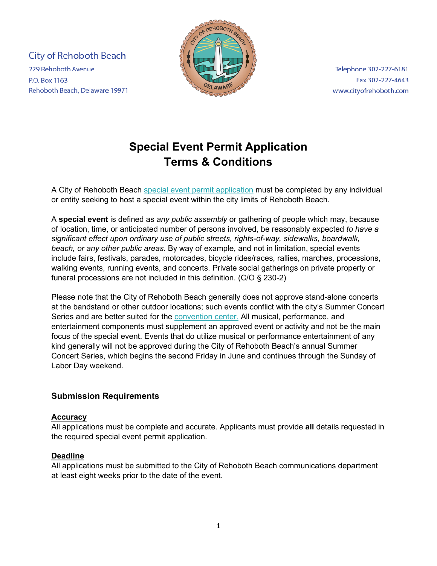**City of Rehoboth Beach** 229 Rehoboth Avenue **P.O. Box 1163** Rehoboth Beach, Delaware 19971



Telephone 302-227-6181 Fax 302-227-4643 www.cityofrehoboth.com

# **Special Event Permit Application Terms & Conditions**

A City of Rehoboth Beach [special event permit](https://www.cityofrehoboth.com/sites/default/files/2021-12/special%20event%20application_no%20covid%20guidelines.pdf) application must be completed by any individual or entity seeking to host a special event within the city limits of Rehoboth Beach.

A **special event** is defined as *any public assembly* or gathering of people which may, because of location, time, or anticipated number of persons involved, be reasonably expected *to have a significant effect upon ordinary use of public streets, rights-of-way, sidewalks, boardwalk, beach, or any other public areas.* By way of example, and not in limitation, special events include fairs, festivals, parades, motorcades, bicycle rides/races, rallies, marches, processions, walking events, running events, and concerts. Private social gatherings on private property or funeral processions are not included in this definition. (C/O § 230-2)

Please note that the City of Rehoboth Beach generally does not approve stand-alone concerts at the bandstand or other outdoor locations; such events conflict with the city's Summer Concert Series and are better suited for the [convention center.](https://www.cityofrehoboth.com/rehoboth-beach-convention-center) All musical, performance, and entertainment components must supplement an approved event or activity and not be the main focus of the special event. Events that do utilize musical or performance entertainment of any kind generally will not be approved during the City of Rehoboth Beach's annual Summer Concert Series, which begins the second Friday in June and continues through the Sunday of Labor Day weekend.

## **Submission Requirements**

#### **Accuracy**

All applications must be complete and accurate. Applicants must provide **all** details requested in the required special event permit application.

## **Deadline**

All applications must be submitted to the City of Rehoboth Beach communications department at least eight weeks prior to the date of the event.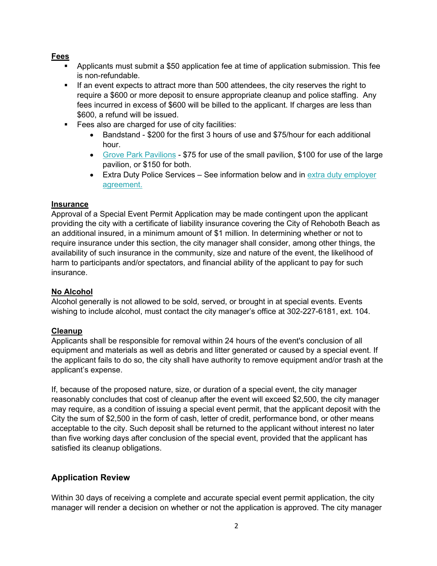#### **Fees**

- Applicants must submit a \$50 application fee at time of application submission. This fee is non-refundable.
- If an event expects to attract more than 500 attendees, the city reserves the right to require a \$600 or more deposit to ensure appropriate cleanup and police staffing. Any fees incurred in excess of \$600 will be billed to the applicant. If charges are less than \$600, a refund will be issued.
- **Fees also are charged for use of city facilities:** 
	- Bandstand \$200 for the first 3 hours of use and \$75/hour for each additional hour.
	- [Grove Park Pavilions](https://www.cityofrehoboth.com/sites/default/files/Grove%20Park%20Rental%20Permit%202018.pdf) \$75 for use of the small pavilion, \$100 for use of the large pavilion, or \$150 for both.
	- Extra Duty Police Services See information below and in extra duty employer [agreement.](https://www.cityofrehoboth.com/sites/default/files/2021-12/extra%20duty%20employer%20form_dec%202021.pdf)

#### **Insurance**

Approval of a Special Event Permit Application may be made contingent upon the applicant providing the city with a certificate of liability insurance covering the City of Rehoboth Beach as an additional insured, in a minimum amount of \$1 million. In determining whether or not to require insurance under this section, the city manager shall consider, among other things, the availability of such insurance in the community, size and nature of the event, the likelihood of harm to participants and/or spectators, and financial ability of the applicant to pay for such insurance.

## **No Alcohol**

Alcohol generally is not allowed to be sold, served, or brought in at special events. Events wishing to include alcohol, must contact the city manager's office at 302-227-6181, ext. 104.

## **Cleanup**

Applicants shall be responsible for removal within 24 hours of the event's conclusion of all equipment and materials as well as debris and litter generated or caused by a special event. If the applicant fails to do so, the city shall have authority to remove equipment and/or trash at the applicant's expense.

If, because of the proposed nature, size, or duration of a special event, the city manager reasonably concludes that cost of cleanup after the event will exceed \$2,500, the city manager may require, as a condition of issuing a special event permit, that the applicant deposit with the City the sum of \$2,500 in the form of cash, letter of credit, performance bond, or other means acceptable to the city. Such deposit shall be returned to the applicant without interest no later than five working days after conclusion of the special event, provided that the applicant has satisfied its cleanup obligations.

## **Application Review**

Within 30 days of receiving a complete and accurate special event permit application, the city manager will render a decision on whether or not the application is approved. The city manager